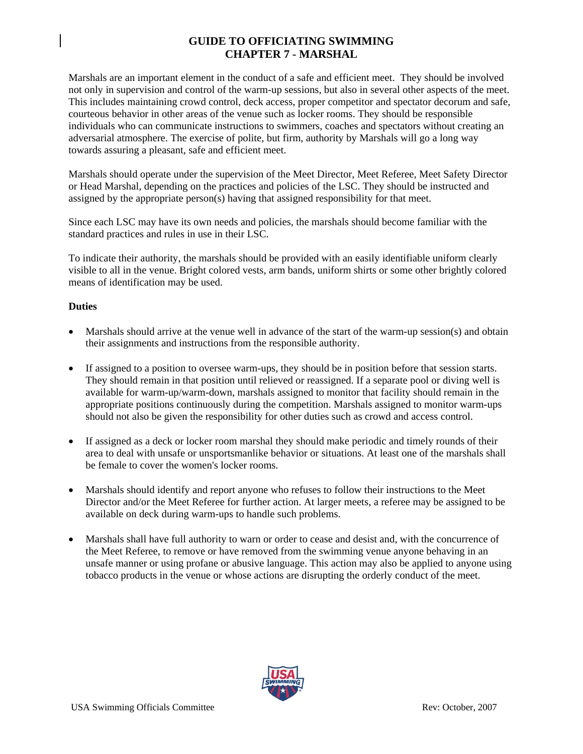## **GUIDE TO OFFICIATING SWIMMING CHAPTER 7 - MARSHAL**

Marshals are an important element in the conduct of a safe and efficient meet. They should be involved not only in supervision and control of the warm-up sessions, but also in several other aspects of the meet. This includes maintaining crowd control, deck access, proper competitor and spectator decorum and safe, courteous behavior in other areas of the venue such as locker rooms. They should be responsible individuals who can communicate instructions to swimmers, coaches and spectators without creating an adversarial atmosphere. The exercise of polite, but firm, authority by Marshals will go a long way towards assuring a pleasant, safe and efficient meet.

Marshals should operate under the supervision of the Meet Director, Meet Referee, Meet Safety Director or Head Marshal, depending on the practices and policies of the LSC. They should be instructed and assigned by the appropriate person(s) having that assigned responsibility for that meet.

Since each LSC may have its own needs and policies, the marshals should become familiar with the standard practices and rules in use in their LSC.

To indicate their authority, the marshals should be provided with an easily identifiable uniform clearly visible to all in the venue. Bright colored vests, arm bands, uniform shirts or some other brightly colored means of identification may be used.

## **Duties**

- Marshals should arrive at the venue well in advance of the start of the warm-up session(s) and obtain their assignments and instructions from the responsible authority.
- If assigned to a position to oversee warm-ups, they should be in position before that session starts. They should remain in that position until relieved or reassigned. If a separate pool or diving well is available for warm-up/warm-down, marshals assigned to monitor that facility should remain in the appropriate positions continuously during the competition. Marshals assigned to monitor warm-ups should not also be given the responsibility for other duties such as crowd and access control.
- If assigned as a deck or locker room marshal they should make periodic and timely rounds of their area to deal with unsafe or unsportsmanlike behavior or situations. At least one of the marshals shall be female to cover the women's locker rooms.
- Marshals should identify and report anyone who refuses to follow their instructions to the Meet Director and/or the Meet Referee for further action. At larger meets, a referee may be assigned to be available on deck during warm-ups to handle such problems.
- Marshals shall have full authority to warn or order to cease and desist and, with the concurrence of the Meet Referee, to remove or have removed from the swimming venue anyone behaving in an unsafe manner or using profane or abusive language. This action may also be applied to anyone using tobacco products in the venue or whose actions are disrupting the orderly conduct of the meet.